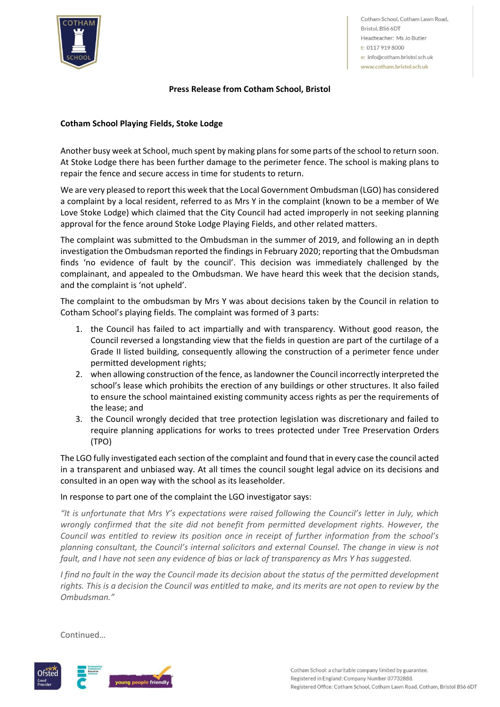

Cotham School, Cotham Lawn Road, Bristol, BS6 6DT Headteacher: Ms Jo Butler t: 0117 919 8000 e: info@cotham.bristol.sch.uk www.cotham.bristol.sch.uk

### **Press Release from Cotham School, Bristol**

# **Cotham School Playing Fields, Stoke Lodge**

Another busy week at School, much spent by making plans for some parts of the school to return soon. At Stoke Lodge there has been further damage to the perimeter fence. The school is making plans to repair the fence and secure access in time for students to return.

We are very pleased to report this week that the Local Government Ombudsman (LGO) has considered a complaint by a local resident, referred to as Mrs Y in the complaint (known to be a member of We Love Stoke Lodge) which claimed that the City Council had acted improperly in not seeking planning approval for the fence around Stoke Lodge Playing Fields, and other related matters.

The complaint was submitted to the Ombudsman in the summer of 2019, and following an in depth investigation the Ombudsman reported the findings in February 2020; reporting that the Ombudsman finds 'no evidence of fault by the council'. This decision was immediately challenged by the complainant, and appealed to the Ombudsman. We have heard this week that the decision stands, and the complaint is 'not upheld'.

The complaint to the ombudsman by Mrs Y was about decisions taken by the Council in relation to Cotham School's playing fields. The complaint was formed of 3 parts:

- 1. the Council has failed to act impartially and with transparency. Without good reason, the Council reversed a longstanding view that the fields in question are part of the curtilage of a Grade II listed building, consequently allowing the construction of a perimeter fence under permitted development rights;
- 2. when allowing construction of the fence, as landowner the Council incorrectly interpreted the school's lease which prohibits the erection of any buildings or other structures. It also failed to ensure the school maintained existing community access rights as per the requirements of the lease; and
- 3. the Council wrongly decided that tree protection legislation was discretionary and failed to require planning applications for works to trees protected under Tree Preservation Orders (TPO)

The LGO fully investigated each section of the complaint and found that in every case the council acted in a transparent and unbiased way. At all times the council sought legal advice on its decisions and consulted in an open way with the school as its leaseholder.

#### In response to part one of the complaint the LGO investigator says:

*"It is unfortunate that Mrs Y's expectations were raised following the Council's letter in July, which wrongly confirmed that the site did not benefit from permitted development rights. However, the Council was entitled to review its position once in receipt of further information from the school's planning consultant, the Council's internal solicitors and external Counsel. The change in view is not fault, and I have not seen any evidence of bias or lack of transparency as Mrs Y has suggested.*

*I* find no fault in the way the Council made its decision about the status of the permitted development *rights. This is a decision the Council was entitled to make, and its merits are not open to review by the Ombudsman."*

Continued…